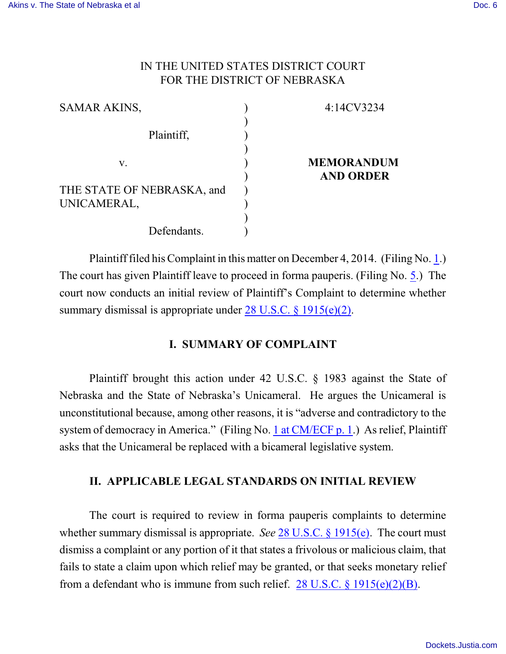## IN THE UNITED STATES DISTRICT COURT FOR THE DISTRICT OF NEBRASKA

| 4:14CV3234                            |
|---------------------------------------|
|                                       |
| <b>MEMORANDUM</b><br><b>AND ORDER</b> |
|                                       |
|                                       |
|                                       |
|                                       |

Plaintiff filed his Complaint in this matter on December 4, 2014. (Filing No. [1](http://ecf.ned.uscourts.gov/doc1/11313162454).) The court has given Plaintiff leave to proceed in forma pauperis. (Filing No. [5](http://ecf.ned.uscourts.gov/doc1/11313164498).) The court now conducts an initial review of Plaintiff's Complaint to determine whether summary dismissal is appropriate under [28 U.S.C. § 1915\(e\)\(2\)](http://westlaw.com/find/default.wl?ft=L&docname=28USCAS1915&rs=btil2.0&rp=%2ffind%2fdefault.wl&fn=_top&findtype=L&vr=2.0&db=1000546&wbtoolsId=28USCAS1915&HistoryType=F).

# **I. SUMMARY OF COMPLAINT**

Plaintiff brought this action under 42 U.S.C. § 1983 against the State of Nebraska and the State of Nebraska's Unicameral. He argues the Unicameral is unconstitutional because, among other reasons, it is "adverse and contradictory to the system of democracy in America." (Filing No. [1 at CM/ECF p. 1](http://ecf.ned.uscourts.gov/doc1/11313162454?page=1).) As relief, Plaintiff asks that the Unicameral be replaced with a bicameral legislative system.

### **II. APPLICABLE LEGAL STANDARDS ON INITIAL REVIEW**

The court is required to review in forma pauperis complaints to determine whether summary dismissal is appropriate. *See* [28 U.S.C.](http://westlaw.com/find/default.wl?ft=L&docname=28USCAS1915&rs=btil2.0&rp=%2ffind%2fdefault.wl&fn=_top&findtype=L&vr=2.0&db=1000546&wbtoolsId=28USCAS1915&HistoryType=F) § 1915(e). The court must dismiss a complaint or any portion of it that states a frivolous or malicious claim, that fails to state a claim upon which relief may be granted, or that seeks monetary relief from a defendant who is immune from such relief. 28 U.S.C.  $\S 1915(e)(2)(B)$ .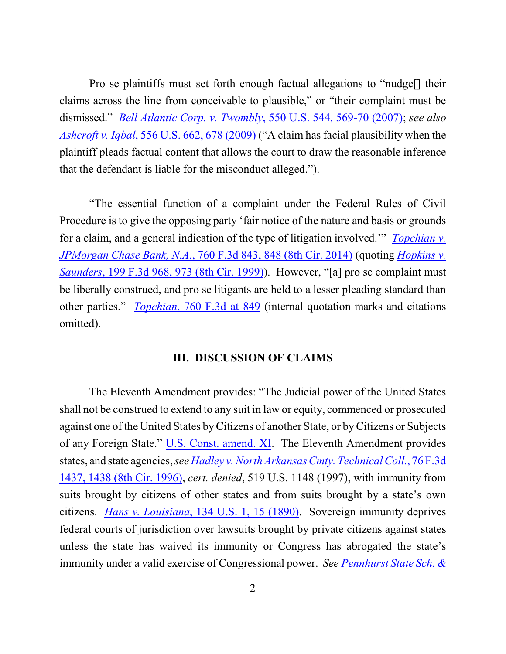Pro se plaintiffs must set forth enough factual allegations to "nudge[] their claims across the line from conceivable to plausible," or "their complaint must be dismissed." *Bell Atlantic Corp. v. Twombly*[, 550 U.S. 544, 569-70 \(2007\)](http://westlaw.com/find/default.wl?ft=Y&referencepositiontype=S&rs=btil2.0&rp=%2ffind%2fdefault.wl&serialnum=2012293296&fn=_top&referenceposition=569&findtype=Y&vr=2.0&db=0000780&wbtoolsId=2012293296&HistoryType=F); *see also Ashcroft v. Iqbal*, [556 U.S. 662, 678 \(2009\)](http://westlaw.com/find/default.wl?ft=Y&referencepositiontype=S&rs=btil2.0&rp=%2ffind%2fdefault.wl&serialnum=2018848474&fn=_top&referenceposition=678&findtype=Y&vr=2.0&db=0000780&wbtoolsId=2018848474&HistoryType=F) ("A claim has facial plausibility when the plaintiff pleads factual content that allows the court to draw the reasonable inference that the defendant is liable for the misconduct alleged.").

"The essential function of a complaint under the Federal Rules of Civil Procedure is to give the opposing party 'fair notice of the nature and basis or grounds for a claim, and a general indication of the type of litigation involved.'" *[Topchian v.](http://westlaw.com/find/default.wl?ft=Y&referencepositiontype=S&rs=btil2.0&rp=%2ffind%2fdefault.wl&serialnum=2033919307&fn=_top&referenceposition=848&findtype=Y&vr=2.0&db=0000506&wbtoolsId=2033919307&HistoryType=F) JPMorgan Chase Bank, N.A.*, [760 F.3d 843, 848 \(8th Cir. 2014\)](http://westlaw.com/find/default.wl?ft=Y&referencepositiontype=S&rs=btil2.0&rp=%2ffind%2fdefault.wl&serialnum=2033919307&fn=_top&referenceposition=848&findtype=Y&vr=2.0&db=0000506&wbtoolsId=2033919307&HistoryType=F) (quoting *[Hopkins v.](http://westlaw.com/find/default.wl?ft=Y&referencepositiontype=S&rs=btil2.0&rp=%2ffind%2fdefault.wl&serialnum=1999275940&fn=_top&referenceposition=973&findtype=Y&vr=2.0&db=0000506&wbtoolsId=1999275940&HistoryType=F) Saunders*[, 199 F.3d 968, 973 \(8th Cir. 1999\)](http://westlaw.com/find/default.wl?ft=Y&referencepositiontype=S&rs=btil2.0&rp=%2ffind%2fdefault.wl&serialnum=1999275940&fn=_top&referenceposition=973&findtype=Y&vr=2.0&db=0000506&wbtoolsId=1999275940&HistoryType=F)). However, "[a] pro se complaint must be liberally construed, and pro se litigants are held to a lesser pleading standard than other parties." *Topchian*[, 760 F.3d](http://westlaw.com/find/default.wl?ft=Y&referencepositiontype=S&rs=btil2.0&rp=%2ffind%2fdefault.wl&serialnum=2033919307&fn=_top&referenceposition=848&findtype=Y&vr=2.0&db=0000506&wbtoolsId=2033919307&HistoryType=F) at 849 (internal quotation marks and citations omitted).

#### **III. DISCUSSION OF CLAIMS**

The Eleventh Amendment provides: "The Judicial power of the United States shall not be construed to extend to any suit in law or equity, commenced or prosecuted against one of the United States byCitizens of another State, or byCitizens or Subjects of any Foreign State." [U.S. Const. amend. XI](http://westlaw.com/find/default.wl?ft=L&docname=USCOAMENDXI&rs=btil2.0&rp=%2ffind%2fdefault.wl&fn=_top&findtype=L&vr=2.0&db=1000583&wbtoolsId=USCOAMENDXI&HistoryType=F). The Eleventh Amendment provides states, and state agencies, *see Hadley [v.North Arkansas Cmty. Technical Coll.](http://westlaw.com/find/default.wl?ft=Y&referencepositiontype=S&rs=btil2.0&rp=%2ffind%2fdefault.wl&serialnum=1996050520&fn=_top&referenceposition=1438&findtype=Y&vr=2.0&db=0000506&wbtoolsId=1996050520&HistoryType=F)*, 76 F.3d [1437, 1438 \(8th Cir. 1996\)](http://westlaw.com/find/default.wl?ft=Y&referencepositiontype=S&rs=btil2.0&rp=%2ffind%2fdefault.wl&serialnum=1996050520&fn=_top&referenceposition=1438&findtype=Y&vr=2.0&db=0000506&wbtoolsId=1996050520&HistoryType=F), *cert. denied*, 519 U.S. 1148 (1997), with immunity from suits brought by citizens of other states and from suits brought by a state's own citizens. *[Hans v. Louisiana](http://westlaw.com/find/default.wl?ft=Y&referencepositiontype=S&rs=btil2.0&rp=%2ffind%2fdefault.wl&serialnum=1890144999&fn=_top&referenceposition=15&findtype=Y&vr=2.0&db=0000780&wbtoolsId=1890144999&HistoryType=F)*, 134 U.S. 1, 15 (1890). Sovereign immunity deprives federal courts of jurisdiction over lawsuits brought by private citizens against states unless the state has waived its immunity or Congress has abrogated the state's immunity under a valid exercise of Congressional power. *See [Pennhurst State](http://westlaw.com/find/default.wl?ft=Y&referencepositiontype=S&rs=btil2.0&rp=%2ffind%2fdefault.wl&serialnum=1984104103&fn=_top&referenceposition=99&findtype=Y&vr=2.0&db=0000780&wbtoolsId=1984104103&HistoryType=F) Sch. &*